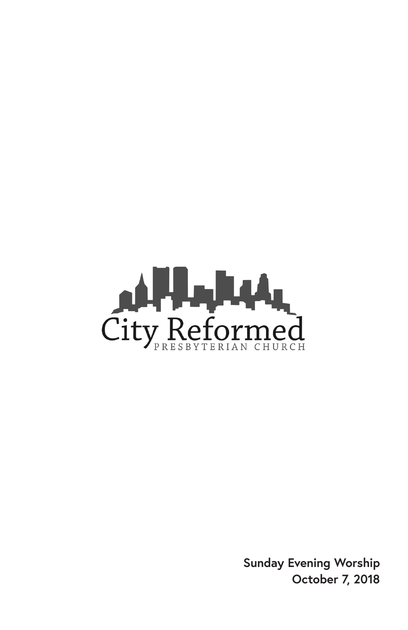

**Sunday Evening Worship October 7, 2018**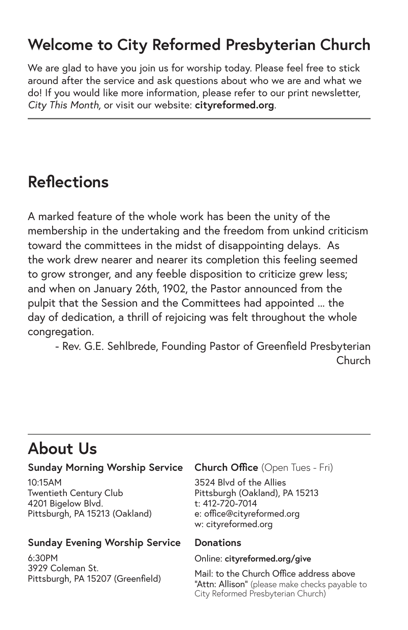#### **Welcome to City Reformed Presbyterian Church**

We are glad to have you join us for worship today. Please feel free to stick around after the service and ask questions about who we are and what we do! If you would like more information, please refer to our print newsletter, *City This Month,* or visit our website: **cityreformed.org**.

### **Reflections**

A marked feature of the whole work has been the unity of the membership in the undertaking and the freedom from unkind criticism toward the committees in the midst of disappointing delays. As the work drew nearer and nearer its completion this feeling seemed to grow stronger, and any feeble disposition to criticize grew less; and when on January 26th, 1902, the Pastor announced from the pulpit that the Session and the Committees had appointed ... the day of dedication, a thrill of rejoicing was felt throughout the whole congregation.

- Rev. G.E. Sehlbrede, Founding Pastor of Greenfield Presbyterian Church

### **About Us**

#### **Sunday Morning Worship Service**

10:15AM Twentieth Century Club 4201 Bigelow Blvd. Pittsburgh, PA 15213 (Oakland)

#### **Sunday Evening Worship Service**

6:30PM 3929 Coleman St. Pittsburgh, PA 15207 (Greenfield)

#### **Church Office** (Open Tues - Fri)

3524 Blvd of the Allies Pittsburgh (Oakland), PA 15213 t: 412-720-7014 e: office@cityreformed.org w: cityreformed.org

#### **Donations**

#### Online: **cityreformed.org/give**

Mail: to the Church Office address above "Attn: Allison" (please make checks payable to City Reformed Presbyterian Church)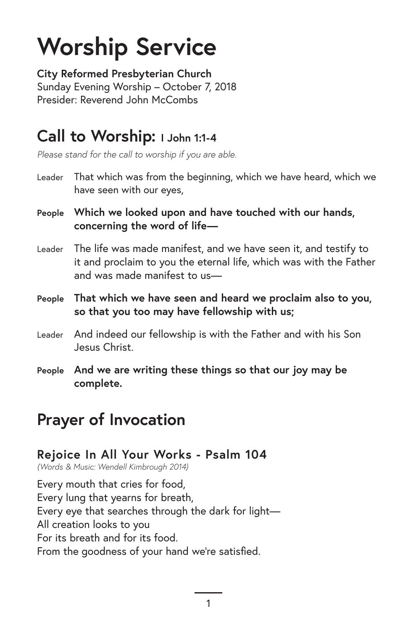# **Worship Service**

**City Reformed Presbyterian Church** Sunday Evening Worship – October 7, 2018 Presider: Reverend John McCombs

#### **Call to Worship: I John 1:1-4**

*Please stand for the call to worship if you are able.*

- Leader That which was from the beginning, which we have heard, which we have seen with our eyes,
- **People Which we looked upon and have touched with our hands, concerning the word of life—**
- Leader The life was made manifest, and we have seen it, and testify to it and proclaim to you the eternal life, which was with the Father and was made manifest to us—
- **People That which we have seen and heard we proclaim also to you, so that you too may have fellowship with us;**
- Leader And indeed our fellowship is with the Father and with his Son Jesus Christ.
- **People And we are writing these things so that our joy may be complete.**

# **Prayer of Invocation**

#### **Rejoice In All Your Works - Psalm 104**

*(Words & Music: Wendell Kimbrough 2014)*

Every mouth that cries for food, Every lung that yearns for breath, Every eye that searches through the dark for light— All creation looks to you For its breath and for its food. From the goodness of your hand we're satisfied.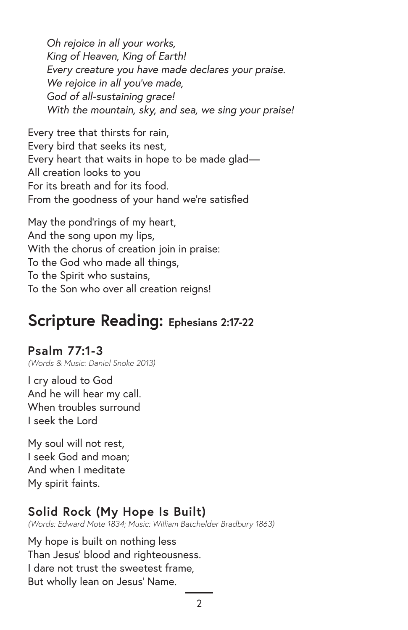*Oh rejoice in all your works, King of Heaven, King of Earth! Every creature you have made declares your praise. We rejoice in all you've made, God of all-sustaining grace! With the mountain, sky, and sea, we sing your praise!*

Every tree that thirsts for rain, Every bird that seeks its nest, Every heart that waits in hope to be made glad— All creation looks to you For its breath and for its food. From the goodness of your hand we're satisfied

May the pond'rings of my heart, And the song upon my lips, With the chorus of creation join in praise: To the God who made all things, To the Spirit who sustains, To the Son who over all creation reigns!

#### **Scripture Reading: Ephesians 2:17-22**

#### **Psalm 77:1-3**

*(Words & Music: Daniel Snoke 2013)*

I cry aloud to God And he will hear my call. When troubles surround I seek the Lord

My soul will not rest, I seek God and moan; And when I meditate My spirit faints.

#### **Solid Rock (My Hope Is Built)**

*(Words: Edward Mote 1834; Music: William Batchelder Bradbury 1863)*

My hope is built on nothing less Than Jesus' blood and righteousness. I dare not trust the sweetest frame, But wholly lean on Jesus' Name.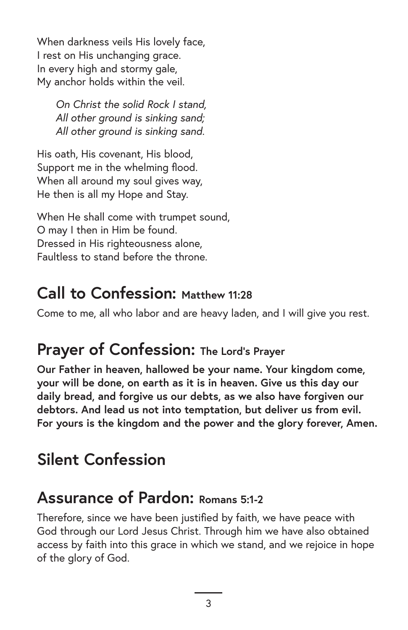When darkness veils His lovely face, I rest on His unchanging grace. In every high and stormy gale, My anchor holds within the veil.

> *On Christ the solid Rock I stand, All other ground is sinking sand; All other ground is sinking sand.*

His oath, His covenant, His blood, Support me in the whelming flood. When all around my soul gives way, He then is all my Hope and Stay.

When He shall come with trumpet sound, O may I then in Him be found. Dressed in His righteousness alone, Faultless to stand before the throne.

#### **Call to Confession: Matthew 11:28**

Come to me, all who labor and are heavy laden, and I will give you rest.

# **Prayer of Confession: The Lord's Prayer**

**Our Father in heaven, hallowed be your name. Your kingdom come, your will be done, on earth as it is in heaven. Give us this day our daily bread, and forgive us our debts, as we also have forgiven our debtors. And lead us not into temptation, but deliver us from evil. For yours is the kingdom and the power and the glory forever, Amen.** 

# **Silent Confession**

### **Assurance of Pardon: Romans 5:1-2**

Therefore, since we have been justified by faith, we have peace with God through our Lord Jesus Christ. Through him we have also obtained access by faith into this grace in which we stand, and we rejoice in hope of the glory of God.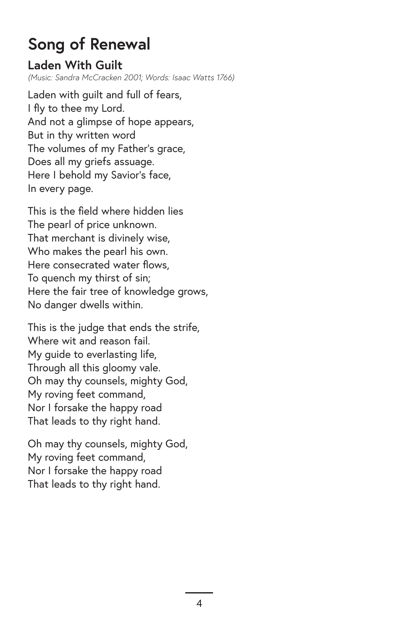### **Song of Renewal**

#### **Laden With Guilt**  *(Music: Sandra McCracken 2001; Words: Isaac Watts 1766)*

Laden with guilt and full of fears, I fly to thee my Lord. And not a glimpse of hope appears, But in thy written word The volumes of my Father's grace, Does all my griefs assuage. Here I behold my Savior's face, In every page.

This is the field where hidden lies The pearl of price unknown. That merchant is divinely wise, Who makes the pearl his own. Here consecrated water flows, To quench my thirst of sin; Here the fair tree of knowledge grows, No danger dwells within.

This is the judge that ends the strife, Where wit and reason fail. My guide to everlasting life, Through all this gloomy vale. Oh may thy counsels, mighty God, My roving feet command, Nor I forsake the happy road That leads to thy right hand.

Oh may thy counsels, mighty God, My roving feet command, Nor I forsake the happy road That leads to thy right hand.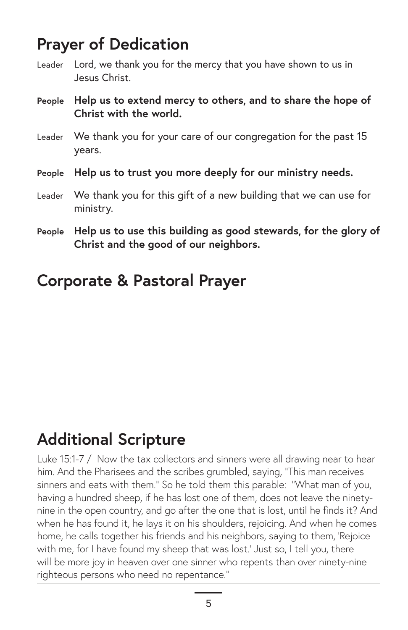# **Prayer of Dedication**

- Leader Lord, we thank you for the mercy that you have shown to us in Jesus Christ.
- **People Help us to extend mercy to others, and to share the hope of Christ with the world.**
- Leader We thank you for your care of our congregation for the past 15 years.
- **People Help us to trust you more deeply for our ministry needs.**
- Leader We thank you for this gift of a new building that we can use for ministry.
- **People Help us to use this building as good stewards, for the glory of Christ and the good of our neighbors.**

### **Corporate & Pastoral Prayer**

# **Additional Scripture**

Luke 15:1-7 / Now the tax collectors and sinners were all drawing near to hear him. And the Pharisees and the scribes grumbled, saying, "This man receives sinners and eats with them." So he told them this parable: "What man of you, having a hundred sheep, if he has lost one of them, does not leave the ninetynine in the open country, and go after the one that is lost, until he finds it? And when he has found it, he lays it on his shoulders, rejoicing. And when he comes home, he calls together his friends and his neighbors, saying to them, 'Rejoice with me, for I have found my sheep that was lost.' Just so, I tell you, there will be more joy in heaven over one sinner who repents than over ninety-nine righteous persons who need no repentance."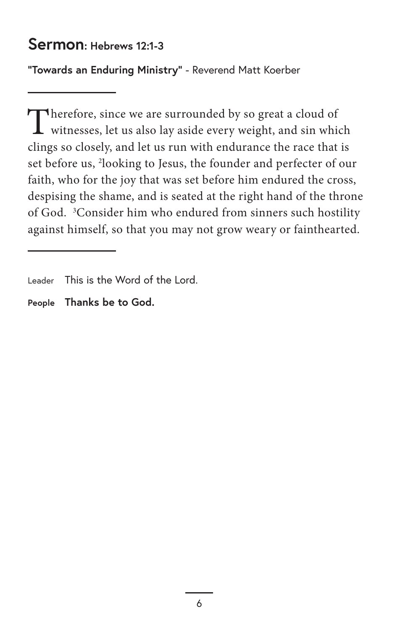#### **Sermon: Hebrews 12:1-3**

**"Towards an Enduring Ministry"** - Reverend Matt Koerber

Therefore, since we are surrounded by so great a cloud of  $\perp$  witnesses, let us also lay aside every weight, and sin which clings so closely, and let us run with endurance the race that is set before us, 2 looking to Jesus, the founder and perfecter of our faith, who for the joy that was set before him endured the cross, despising the shame, and is seated at the right hand of the throne of God. 3 Consider him who endured from sinners such hostility against himself, so that you may not grow weary or fainthearted.

**People Thanks be to God.**

Leader This is the Word of the Lord.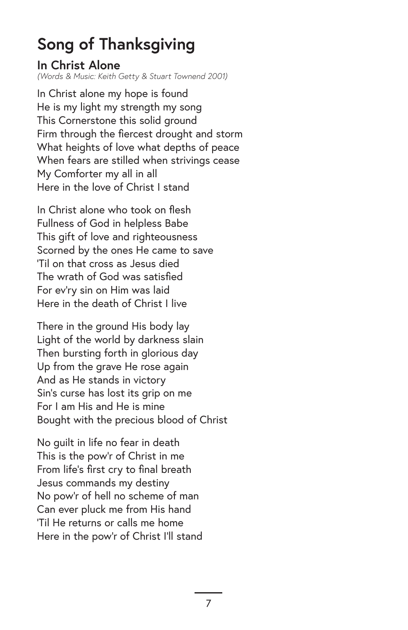# **Song of Thanksgiving**

**In Christ Alone**  *(Words & Music: Keith Getty & Stuart Townend 2001)*

In Christ alone my hope is found He is my light my strength my song This Cornerstone this solid ground Firm through the fiercest drought and storm What heights of love what depths of peace When fears are stilled when strivings cease My Comforter my all in all Here in the love of Christ I stand

In Christ alone who took on flesh Fullness of God in helpless Babe This gift of love and righteousness Scorned by the ones He came to save 'Til on that cross as Jesus died The wrath of God was satisfied For ev'ry sin on Him was laid Here in the death of Christ I live

There in the ground His body lay Light of the world by darkness slain Then bursting forth in glorious day Up from the grave He rose again And as He stands in victory Sin's curse has lost its grip on me For I am His and He is mine Bought with the precious blood of Christ

No guilt in life no fear in death This is the pow'r of Christ in me From life's first cry to final breath Jesus commands my destiny No pow'r of hell no scheme of man Can ever pluck me from His hand 'Til He returns or calls me home Here in the pow'r of Christ I'll stand